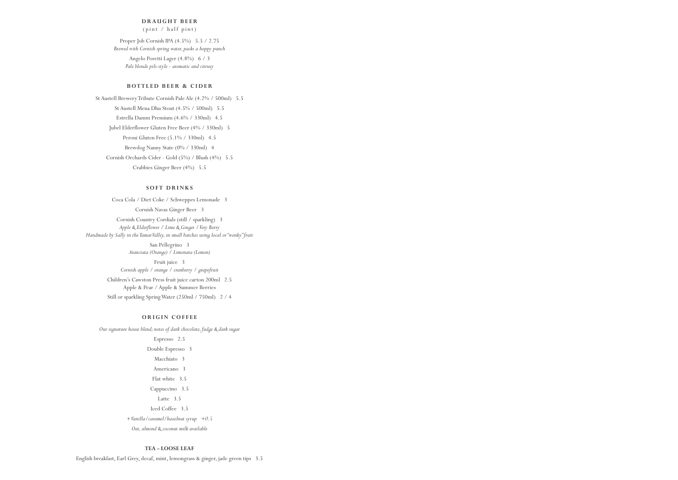Coca Cola / Diet Coke / Schweppes Lemonade 3 Cornish Navas Ginger Beer 3

Cornish Country Cordials (still / sparkling) 3 *Apple & Elderflower / Lime & Ginger / Very Berry Handmade by Sally in the Tamar Valley, in small batches using local or "wonky" fruit*

> San Pellegrino 3 *Aranciata (Orange) / Limonata (Lemon)*

Fruit juice 3 *Cornish apple / orange / cranberry / grapefruit*

Children's Cawston Press fruit juice carton 200ml 2.5 Apple & Pear / Apple & Summer Berries

Still or sparkling Spring Water (250ml / 750ml) 2 / 4

## **SOFT DRINKS**

St Austell Brewery Tribute Cornish Pale Ale (4.2% / 500ml) 5.5 St Austell Mena Dhu Stout (4.5% / 500ml) 5.5 Estrella Damm Premium (4.6% / 330ml) 4.5 Jubel Elderflower Gluten Free Beer (4% / 330ml) 5 Peroni Gluten Free (5.1% / 330ml) 4.5 Brewdog Nanny State (0% / 330ml) 4 Cornish Orchards Cider - Gold (5%) / Blush (4%) 5.5 Crabbies Ginger Beer (4%) 5.5

### **BOTTLED BEER & CIDER**

Proper Job Cornish IPA (4.5%) 5.5 / 2.75 *Brewed with Cornish spring water, packs a hoppy punch* Angelo Poretti Lager (4.8%) 6 / 3 *Pale blonde pils-style - aromatic and citrusy*

# **DRAUGHT BEER**

(pint / half pint)

*Our signature house blend; notes of dark chocolate, fudge & dark sugar* Espresso 2.5 Double Espresso 3 Macchiato 3 Americano 3 Flat white 3.5 Cappuccino 3.5 Latte 3.5 Iced Coffee 3.5 *+ Vanilla/caramel/hazelnut syrup +0.5 Oat, almond & coconut milk available*

# **TEA - LOOSE LEAF**

English breakfast, Earl Grey, decaf, mint, lemongrass & ginger, jade green tips 3.5

# **ORIGIN COFFEE**